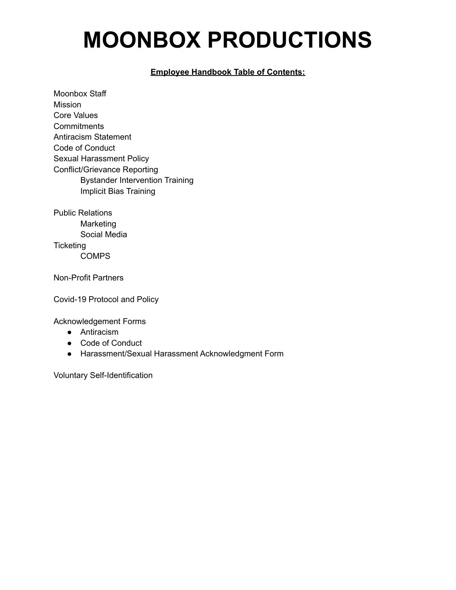### **MOONBOX PRODUCTIONS**

#### **Employee Handbook Table of Contents:**

Moonbox Staff Mission Core Values **Commitments** Antiracism Statement Code of Conduct Sexual Harassment Policy Conflict/Grievance Reporting Bystander Intervention Training Implicit Bias Training

Public Relations Marketing Social Media **Ticketing COMPS** 

Non-Profit Partners

Covid-19 Protocol and Policy

Acknowledgement Forms

- Antiracism
- Code of Conduct
- Harassment/Sexual Harassment Acknowledgment Form

Voluntary Self-Identification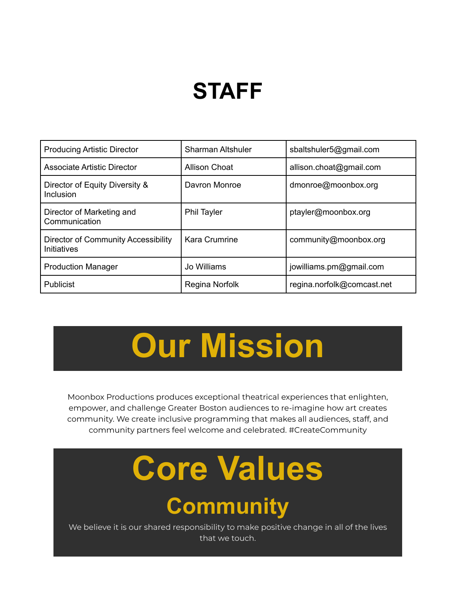### **STAFF**

| <b>Producing Artistic Director</b>                        | <b>Sharman Altshuler</b> | sbaltshuler5@gmail.com     |
|-----------------------------------------------------------|--------------------------|----------------------------|
| <b>Associate Artistic Director</b>                        | Allison Choat            | allison.choat@gmail.com    |
| Director of Equity Diversity &<br>Inclusion               | Davron Monroe            | dmonroe@moonbox.org        |
| Director of Marketing and<br>Communication                | <b>Phil Tayler</b>       | ptayler@moonbox.org        |
| <b>Director of Community Accessibility</b><br>Initiatives | <b>Kara Crumrine</b>     | community@moonbox.org      |
| <b>Production Manager</b>                                 | Jo Williams              | jowilliams.pm@gmail.com    |
| <b>Publicist</b>                                          | Regina Norfolk           | regina.norfolk@comcast.net |

## **Our Mission**

Moonbox Productions produces exceptional theatrical experiences that enlighten, empower, and challenge Greater Boston audiences to re-imagine how art creates community. We create inclusive programming that makes all audiences, staff, and community partners feel welcome and celebrated. #CreateCommunity

# **Core Values**

### **Community**

We believe it is our shared responsibility to make positive change in all of the lives that we touch.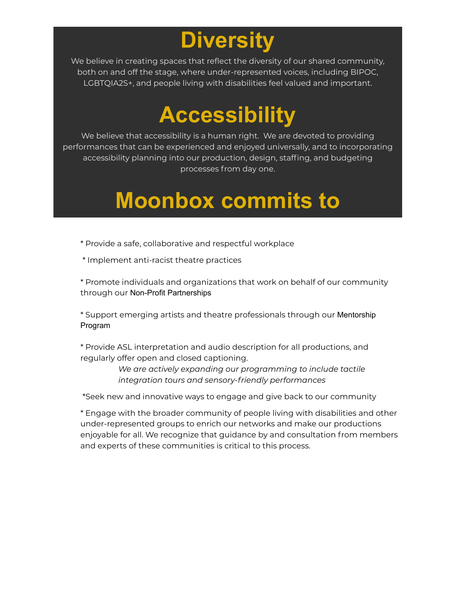### **Diversity**

We believe in creating spaces that reflect the diversity of our shared community, both on and off the stage, where under-represented voices, including BIPOC, LGBTQIA2S+, and people living with disabilities feel valued and important.

### **Accessibility**

We believe that accessibility is a human right. We are devoted to providing performances that can be experienced and enjoyed universally, and to incorporating accessibility planning into our production, design, staffing, and budgeting processes from day one.

### **Moonbox commits to**

- \* Provide a safe, collaborative and respectful workplace
- \* Implement anti-racist theatre practices

\* Promote individuals and organizations that work on behalf of our community through our [Non-Profit Partnerships](http://next.moonboxproductions.org/partners/)

\* Support emerging artists and theatre professionals through our [Mentorship](http://next.moonboxproductions.org/shadowbox/) [Program](http://next.moonboxproductions.org/shadowbox/)

\* Provide ASL interpretation and audio description for all productions, and regularly offer open and closed captioning.

> *We are actively expanding our programming to include tactile integration tours and sensory-friendly performances*

\*Seek new and innovative ways to engage and give back to our community

\* Engage with the broader community of people living with disabilities and other under-represented groups to enrich our networks and make our productions enjoyable for all. We recognize that guidance by and consultation from members and experts of these communities is critical to this process.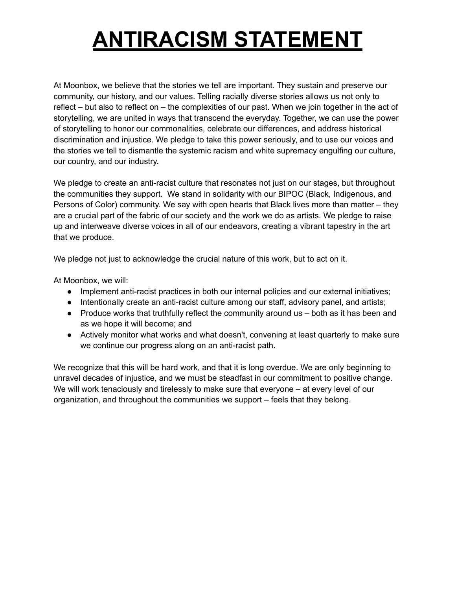### **ANTIRACISM STATEMENT**

At Moonbox, we believe that the stories we tell are important. They sustain and preserve our community, our history, and our values. Telling racially diverse stories allows us not only to reflect – but also to reflect on – the complexities of our past. When we join together in the act of storytelling, we are united in ways that transcend the everyday. Together, we can use the power of storytelling to honor our commonalities, celebrate our differences, and address historical discrimination and injustice. We pledge to take this power seriously, and to use our voices and the stories we tell to dismantle the systemic racism and white supremacy engulfing our culture, our country, and our industry.

We pledge to create an anti-racist culture that resonates not just on our stages, but throughout the communities they support. We stand in solidarity with our BIPOC (Black, Indigenous, and Persons of Color) community. We say with open hearts that Black lives more than matter – they are a crucial part of the fabric of our society and the work we do as artists. We pledge to raise up and interweave diverse voices in all of our endeavors, creating a vibrant tapestry in the art that we produce.

We pledge not just to acknowledge the crucial nature of this work, but to act on it.

At Moonbox, we will:

- Implement anti-racist practices in both our internal policies and our external initiatives;
- Intentionally create an anti-racist culture among our staff, advisory panel, and artists;
- Produce works that truthfully reflect the community around us both as it has been and as we hope it will become; and
- Actively monitor what works and what doesn't, convening at least quarterly to make sure we continue our progress along on an anti-racist path.

We recognize that this will be hard work, and that it is long overdue. We are only beginning to unravel decades of injustice, and we must be steadfast in our commitment to positive change. We will work tenaciously and tirelessly to make sure that everyone – at every level of our organization, and throughout the communities we support – feels that they belong.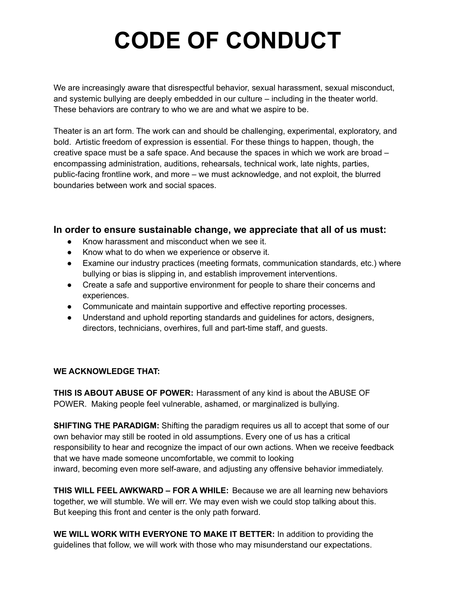### **CODE OF CONDUCT**

We are increasingly aware that disrespectful behavior, sexual harassment, sexual misconduct, and systemic bullying are deeply embedded in our culture – including in the theater world. These behaviors are contrary to who we are and what we aspire to be.

Theater is an art form. The work can and should be challenging, experimental, exploratory, and bold. Artistic freedom of expression is essential. For these things to happen, though, the creative space must be a safe space. And because the spaces in which we work are broad – encompassing administration, auditions, rehearsals, technical work, late nights, parties, public-facing frontline work, and more – we must acknowledge, and not exploit, the blurred boundaries between work and social spaces.

#### **In order to ensure sustainable change, we appreciate that all of us must:**

- Know harassment and misconduct when we see it.
- Know what to do when we experience or observe it.
- Examine our industry practices (meeting formats, communication standards, etc.) where bullying or bias is slipping in, and establish improvement interventions.
- Create a safe and supportive environment for people to share their concerns and experiences.
- Communicate and maintain supportive and effective reporting processes.
- Understand and uphold reporting standards and guidelines for actors, designers, directors, technicians, overhires, full and part-time staff, and guests.

#### **WE ACKNOWLEDGE THAT:**

**THIS IS ABOUT ABUSE OF POWER:** Harassment of any kind is about the ABUSE OF POWER. Making people feel vulnerable, ashamed, or marginalized is bullying.

**SHIFTING THE PARADIGM:** Shifting the paradigm requires us all to accept that some of our own behavior may still be rooted in old assumptions. Every one of us has a critical responsibility to hear and recognize the impact of our own actions. When we receive feedback that we have made someone uncomfortable, we commit to looking inward, becoming even more self-aware, and adjusting any offensive behavior immediately.

**THIS WILL FEEL AWKWARD – FOR A WHILE:** Because we are all learning new behaviors together, we will stumble. We will err. We may even wish we could stop talking about this. But keeping this front and center is the only path forward.

**WE WILL WORK WITH EVERYONE TO MAKE IT BETTER:** In addition to providing the guidelines that follow, we will work with those who may misunderstand our expectations.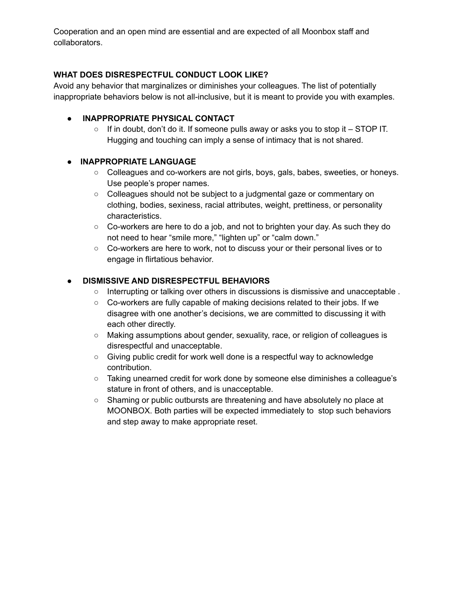Cooperation and an open mind are essential and are expected of all Moonbox staff and collaborators.

#### **WHAT DOES DISRESPECTFUL CONDUCT LOOK LIKE?**

Avoid any behavior that marginalizes or diminishes your colleagues. The list of potentially inappropriate behaviors below is not all-inclusive, but it is meant to provide you with examples.

#### **● INAPPROPRIATE PHYSICAL CONTACT**

○ If in doubt, don't do it. If someone pulls away or asks you to stop it – STOP IT. Hugging and touching can imply a sense of intimacy that is not shared.

#### **● INAPPROPRIATE LANGUAGE**

- Colleagues and co-workers are not girls, boys, gals, babes, sweeties, or honeys. Use people's proper names.
- Colleagues should not be subject to a judgmental gaze or commentary on clothing, bodies, sexiness, racial attributes, weight, prettiness, or personality characteristics.
- Co-workers are here to do a job, and not to brighten your day. As such they do not need to hear "smile more," "lighten up" or "calm down."
- Co-workers are here to work, not to discuss your or their personal lives or to engage in flirtatious behavior.

#### ● **DISMISSIVE AND DISRESPECTFUL BEHAVIORS**

- **○** Interrupting or talking over others in discussions is dismissive and unacceptable .
- **○** Co-workers are fully capable of making decisions related to their jobs. If we disagree with one another's decisions, we are committed to discussing it with each other directly.
- **○** Making assumptions about gender, sexuality, race, or religion of colleagues is disrespectful and unacceptable.
- **○** Giving public credit for work well done is a respectful way to acknowledge contribution.
- **○** Taking unearned credit for work done by someone else diminishes a colleague's stature in front of others, and is unacceptable.
- **○** Shaming or public outbursts are threatening and have absolutely no place at MOONBOX. Both parties will be expected immediately to stop such behaviors and step away to make appropriate reset.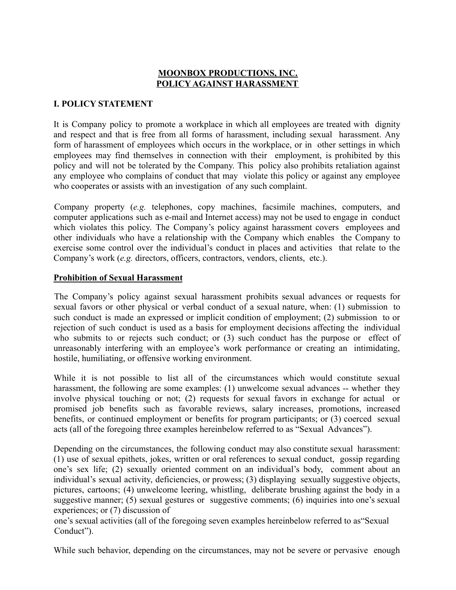#### **MOONBOX PRODUCTIONS, INC. POLICY AGAINST HARASSMENT**

#### **I. POLICY STATEMENT**

It is Company policy to promote a workplace in which all employees are treated with dignity and respect and that is free from all forms of harassment, including sexual harassment. Any form of harassment of employees which occurs in the workplace, or in other settings in which employees may find themselves in connection with their employment, is prohibited by this policy and will not be tolerated by the Company. This policy also prohibits retaliation against any employee who complains of conduct that may violate this policy or against any employee who cooperates or assists with an investigation of any such complaint.

Company property (*e.g.* telephones, copy machines, facsimile machines, computers, and computer applications such as e-mail and Internet access) may not be used to engage in conduct which violates this policy. The Company's policy against harassment covers employees and other individuals who have a relationship with the Company which enables the Company to exercise some control over the individual's conduct in places and activities that relate to the Company's work (*e.g.* directors, officers, contractors, vendors, clients, etc.).

#### **Prohibition of Sexual Harassment**

The Company's policy against sexual harassment prohibits sexual advances or requests for sexual favors or other physical or verbal conduct of a sexual nature, when: (1) submission to such conduct is made an expressed or implicit condition of employment; (2) submission to or rejection of such conduct is used as a basis for employment decisions affecting the individual who submits to or rejects such conduct; or (3) such conduct has the purpose or effect of unreasonably interfering with an employee's work performance or creating an intimidating, hostile, humiliating, or offensive working environment.

While it is not possible to list all of the circumstances which would constitute sexual harassment, the following are some examples: (1) unwelcome sexual advances -- whether they involve physical touching or not; (2) requests for sexual favors in exchange for actual or promised job benefits such as favorable reviews, salary increases, promotions, increased benefits, or continued employment or benefits for program participants; or (3) coerced sexual acts (all of the foregoing three examples hereinbelow referred to as "Sexual Advances").

Depending on the circumstances, the following conduct may also constitute sexual harassment: (1) use of sexual epithets, jokes, written or oral references to sexual conduct, gossip regarding one's sex life; (2) sexually oriented comment on an individual's body, comment about an individual's sexual activity, deficiencies, or prowess; (3) displaying sexually suggestive objects, pictures, cartoons; (4) unwelcome leering, whistling, deliberate brushing against the body in a suggestive manner; (5) sexual gestures or suggestive comments; (6) inquiries into one's sexual experiences; or (7) discussion of

one's sexual activities (all of the foregoing seven examples hereinbelow referred to as"Sexual Conduct").

While such behavior, depending on the circumstances, may not be severe or pervasive enough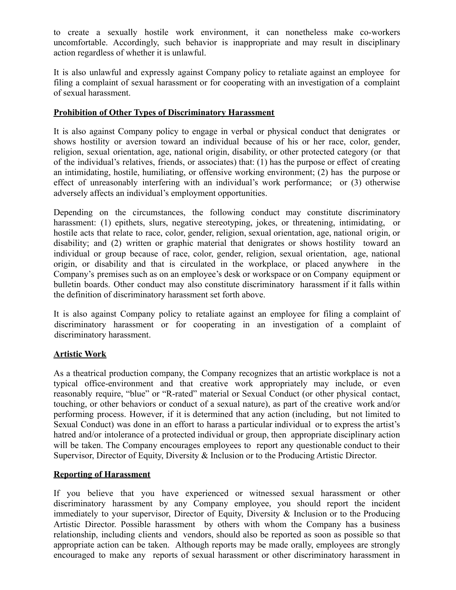to create a sexually hostile work environment, it can nonetheless make co-workers uncomfortable. Accordingly, such behavior is inappropriate and may result in disciplinary action regardless of whether it is unlawful.

It is also unlawful and expressly against Company policy to retaliate against an employee for filing a complaint of sexual harassment or for cooperating with an investigation of a complaint of sexual harassment.

#### **Prohibition of Other Types of Discriminatory Harassment**

It is also against Company policy to engage in verbal or physical conduct that denigrates or shows hostility or aversion toward an individual because of his or her race, color, gender, religion, sexual orientation, age, national origin, disability, or other protected category (or that of the individual's relatives, friends, or associates) that: (1) has the purpose or effect of creating an intimidating, hostile, humiliating, or offensive working environment; (2) has the purpose or effect of unreasonably interfering with an individual's work performance; or (3) otherwise adversely affects an individual's employment opportunities.

Depending on the circumstances, the following conduct may constitute discriminatory harassment: (1) epithets, slurs, negative stereotyping, jokes, or threatening, intimidating, or hostile acts that relate to race, color, gender, religion, sexual orientation, age, national origin, or disability; and (2) written or graphic material that denigrates or shows hostility toward an individual or group because of race, color, gender, religion, sexual orientation, age, national origin, or disability and that is circulated in the workplace, or placed anywhere in the Company's premises such as on an employee's desk or workspace or on Company equipment or bulletin boards. Other conduct may also constitute discriminatory harassment if it falls within the definition of discriminatory harassment set forth above.

It is also against Company policy to retaliate against an employee for filing a complaint of discriminatory harassment or for cooperating in an investigation of a complaint of discriminatory harassment.

#### **Artistic Work**

As a theatrical production company, the Company recognizes that an artistic workplace is not a typical office-environment and that creative work appropriately may include, or even reasonably require, "blue" or "R-rated" material or Sexual Conduct (or other physical contact, touching, or other behaviors or conduct of a sexual nature), as part of the creative work and/or performing process. However, if it is determined that any action (including, but not limited to Sexual Conduct) was done in an effort to harass a particular individual or to express the artist's hatred and/or intolerance of a protected individual or group, then appropriate disciplinary action will be taken. The Company encourages employees to report any questionable conduct to their Supervisor, Director of Equity, Diversity & Inclusion or to the Producing Artistic Director.

#### **Reporting of Harassment**

If you believe that you have experienced or witnessed sexual harassment or other discriminatory harassment by any Company employee, you should report the incident immediately to your supervisor, Director of Equity, Diversity & Inclusion or to the Producing Artistic Director. Possible harassment by others with whom the Company has a business relationship, including clients and vendors, should also be reported as soon as possible so that appropriate action can be taken. Although reports may be made orally, employees are strongly encouraged to make any reports of sexual harassment or other discriminatory harassment in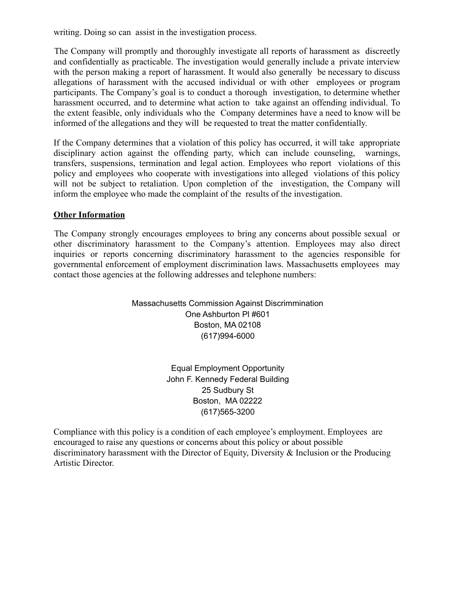writing. Doing so can assist in the investigation process.

The Company will promptly and thoroughly investigate all reports of harassment as discreetly and confidentially as practicable. The investigation would generally include a private interview with the person making a report of harassment. It would also generally be necessary to discuss allegations of harassment with the accused individual or with other employees or program participants. The Company's goal is to conduct a thorough investigation, to determine whether harassment occurred, and to determine what action to take against an offending individual. To the extent feasible, only individuals who the Company determines have a need to know will be informed of the allegations and they will be requested to treat the matter confidentially.

If the Company determines that a violation of this policy has occurred, it will take appropriate disciplinary action against the offending party, which can include counseling, warnings, transfers, suspensions, termination and legal action. Employees who report violations of this policy and employees who cooperate with investigations into alleged violations of this policy will not be subject to retaliation. Upon completion of the investigation, the Company will inform the employee who made the complaint of the results of the investigation.

#### **Other Information**

The Company strongly encourages employees to bring any concerns about possible sexual or other discriminatory harassment to the Company's attention. Employees may also direct inquiries or reports concerning discriminatory harassment to the agencies responsible for governmental enforcement of employment discrimination laws. Massachusetts employees may contact those agencies at the following addresses and telephone numbers:

> Massachusetts Commission Against Discrimmination One Ashburton Pl #601 Boston, MA 02108 (617)994-6000

> > Equal Employment Opportunity John F. Kennedy Federal Building 25 Sudbury St Boston, MA 02222 (617)565-3200

Compliance with this policy is a condition of each employee's employment. Employees are encouraged to raise any questions or concerns about this policy or about possible discriminatory harassment with the Director of Equity, Diversity & Inclusion or the Producing Artistic Director.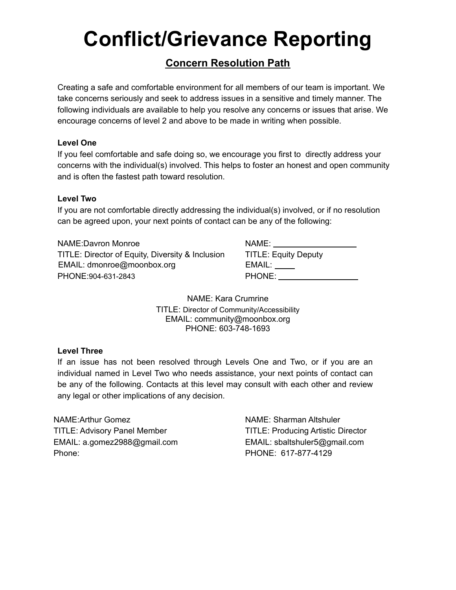### **Conflict/Grievance Reporting**

#### **Concern Resolution Path**

Creating a safe and comfortable environment for all members of our team is important. We take concerns seriously and seek to address issues in a sensitive and timely manner. The following individuals are available to help you resolve any concerns or issues that arise. We encourage concerns of level 2 and above to be made in writing when possible.

#### **Level One**

If you feel comfortable and safe doing so, we encourage you first to directly address your concerns with the individual(s) involved. This helps to foster an honest and open community and is often the fastest path toward resolution.

#### **Level Two**

If you are not comfortable directly addressing the individual(s) involved, or if no resolution can be agreed upon, your next points of contact can be any of the following:

NAME:Davron Monroe TITLE: Director of Equity, Diversity & Inclusion EMAIL: dmonroe@moonbox.org EMAIL: PHONE: 904-631-2843

| <b>TITLE: Equity Deputy</b> |
|-----------------------------|
| EMAIL:                      |
| PHONE:                      |

NAME: Kara Crumrine TITLE: Director of Community/Accessibility EMAIL: community@moonbox.org PHONE: 603-748-1693

#### **Level Three**

If an issue has not been resolved through Levels One and Two, or if you are an individual named in Level Two who needs assistance, your next points of contact can be any of the following. Contacts at this level may consult with each other and review any legal or other implications of any decision.

NAME:Arthur Gomez NAME: Sharman Altshuler TITLE: Advisory Panel Member TITLE: Producing Artistic Director EMAIL: a.gomez2988@gmail.com EMAIL: sbaltshuler5@gmail.com Phone: PHONE: 617-877-4129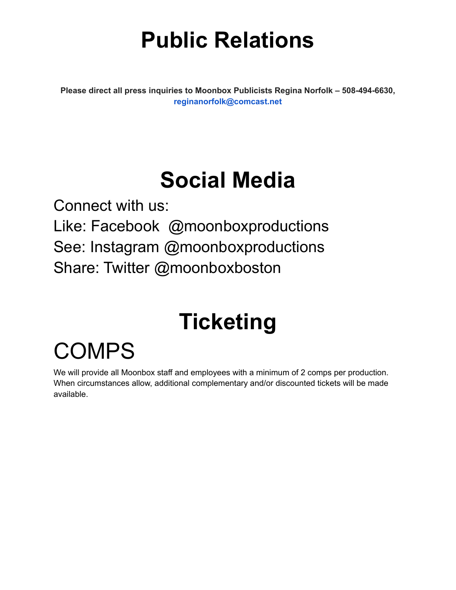### **Public Relations**

**Please direct all press inquiries to Moonbox Publicists Regina Norfolk – 508-494-6630, reginanorfolk@comcast.net**

### **Social Media**

Connect with us: Like: Facebook @moonboxproductions See: Instagram @moonboxproductions Share: Twitter @moonboxboston

### **Ticketing**

### COMPS

We will provide all Moonbox staff and employees with a minimum of 2 comps per production. When circumstances allow, additional complementary and/or discounted tickets will be made available.